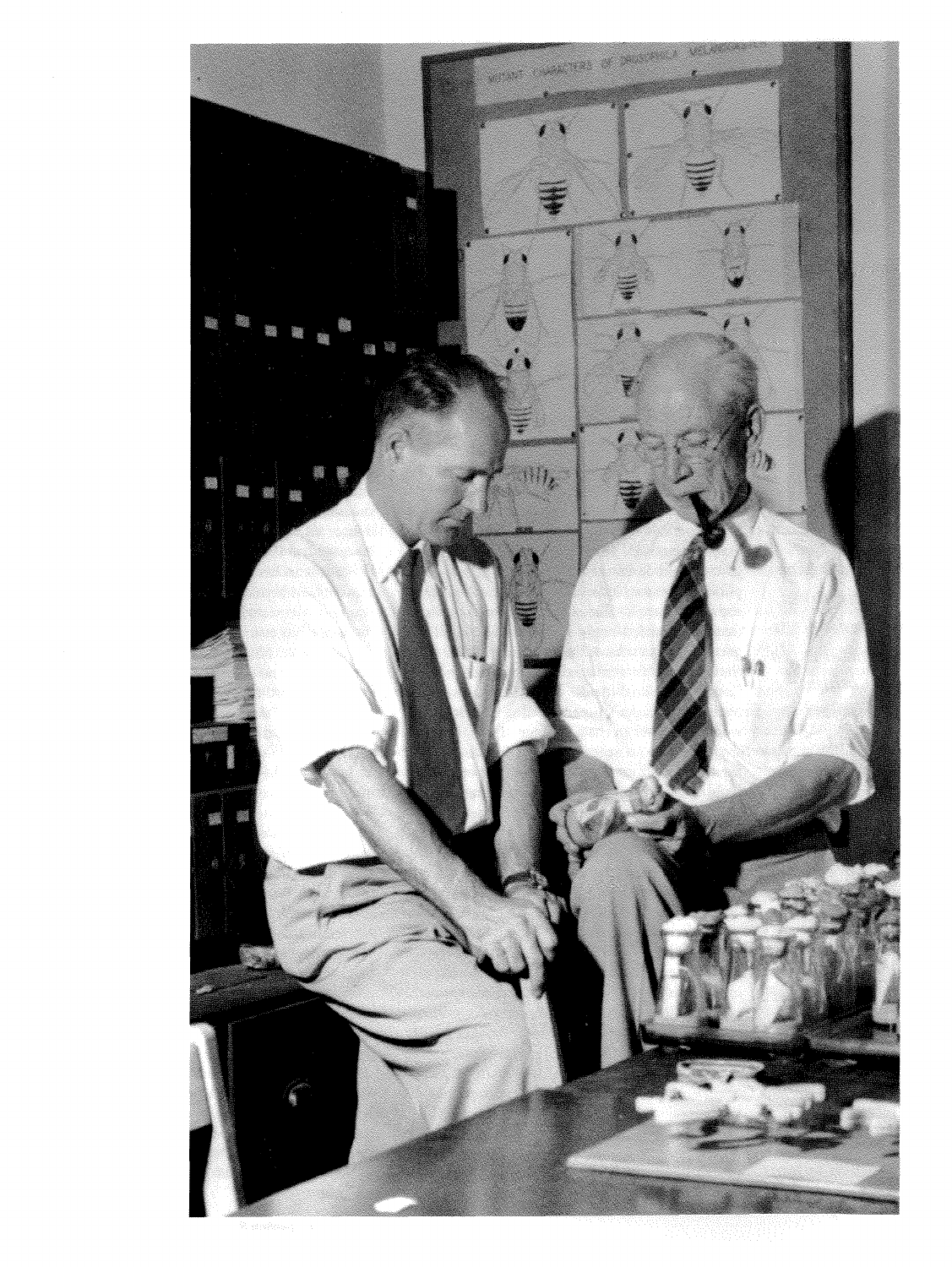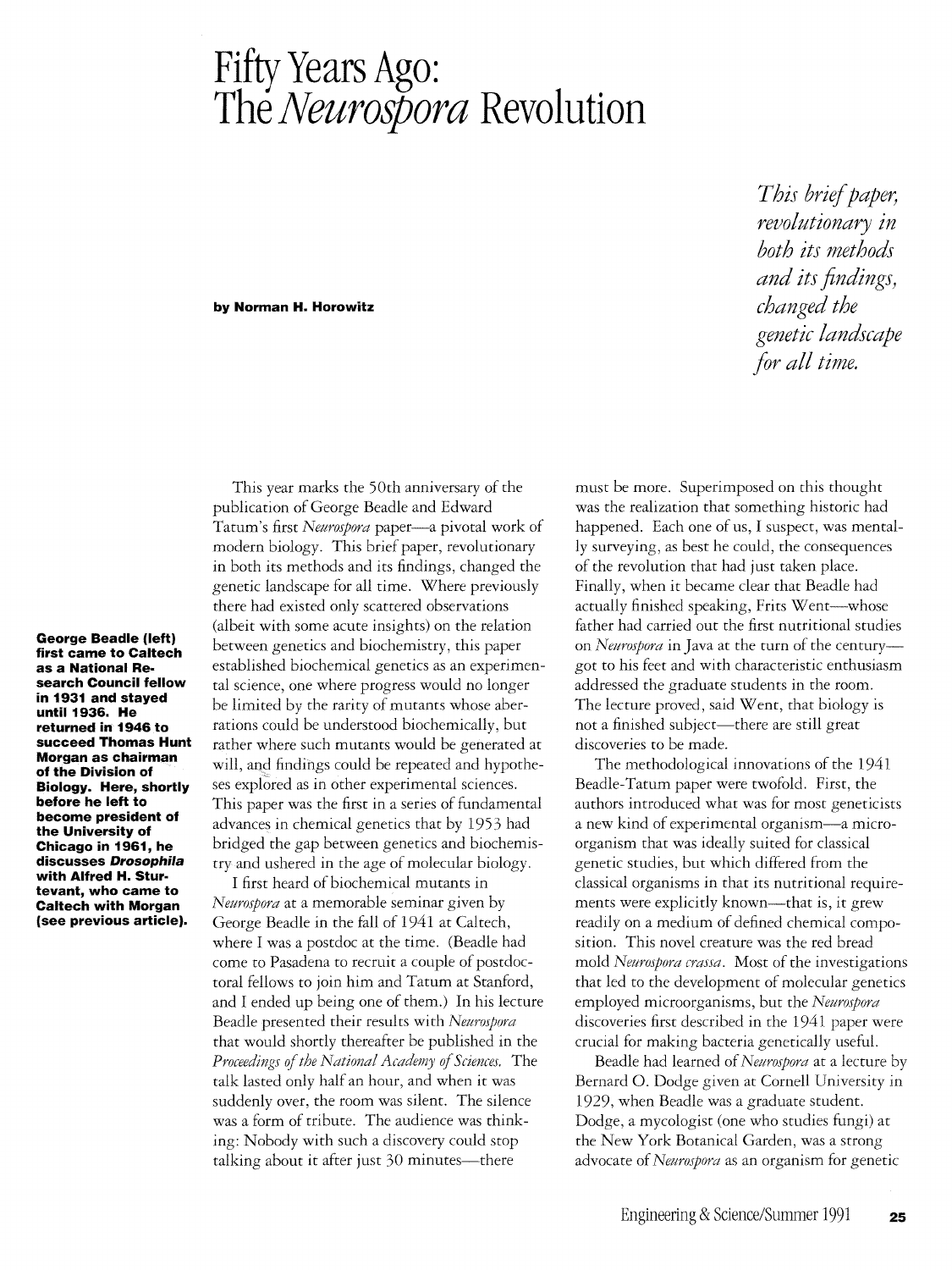## **Fifty Years Ago: The** *Neurospora* **Revolution**

**by Norman H. Horowitz** 

*This brief paper, revolutionary in both its methods and its findings, changed the genetic landscape for all time.* 

**George Beadle (left) first came to Caltech as a National Research Council fellow in 1931 and stayed until 1936. He returned in 1946 to succeed Thomas Hunt Morgan as chairman of the Division of Biology. Here, shortly before he left to become president of the University of Chicago in 1961, he discusses Drosophila with Alfred H. Sturtevant, who came to Caltech with Morgan (see previous article).** 

This year marks the 50th anniversary of the publication of George Beadle and Edward Tatum's first *Neurospora* paper-a pivotal work of modern biology. This brief paper, revolutionary in both its methods and its findings, changed the genetic landscape for all time. Where previously there had existed only scattered observations (albeit with some acute insights) on the relation between genetics and biochemistry, this paper established biochemical genetics as an experimental science, one where progress would no longer be limited by the rarity of mutants whose aberrations could be understood biochemically, but rather where such mutants would be generated at will, and findings could be repeated and hypotheses explored as in other experimental sciences. This paper was the first in a series of fundamental advances in chemical genetics that by 1953 had bridged the gap between genetics and biochemistry and ushered in the age of molecular biology.

I first heard of biochemical mutants in *Neurospora* at a memorable seminar given by George Beadle in the fall of 1941 at Caltech, where I was a postdoc at the time. (Beadle had come to Pasadena to recruit a couple of postdoctoral fellows to join him and Tarum at Stanford, and I ended up being one of them.) In his lecture Beadle presented their results with *Neurospora*  that would shortly thereafter be published in the *Proceedings 0/ the National Academy 0/ Sciences.* The talk lasted only half an hour, and when it was suddenly over, the room was silent. The silence was a form of tribute. The audience was thinking: Nobody with such a discovery could stop talking about it after just 30 minutes-there

must be more. Superimposed on this thought was the realization that something historic had happened. Each one of us, I suspect, was mentally surveying, as best he could, the consequences of the revolution that had just taken place. Finally, when it became clear that Beadle had actually finished speaking, Frits Went-whose father had carried out the first nutritional srudies on *Neurospora* in Java at the turn of the centurygot to his feet and with characteristic enthusiasm addressed the graduate students in the room. The lecture proved, said Went, that biology is not a finished subject—there are still great discoveries to be made.

The methodological innovations of the 1941 Beadle-Tatum paper were twofold. First, the authors introduced what was for most geneticists a new kind of experimental organism-a microorganism that was ideally suited for classical genetic studies, but which differed from the classical organisms in that its nutritional requirements were explicitly known—that is, it grew readily on a medium of defined chemical composition. This novel creature was the red bread mold *Neurospora crassa.* Most of the investigations that led to the development of molecular genetics employed microorganisms, but the *Neurospora*  discoveries first described in the 1941 paper were crucial for making bacteria genetically useful.

Beadle had learned of *Neurospora* at a lecture by Bernard O. Dodge given at Cornell University in 1929, when Beadle was a graduate student. Dodge, a mycologist (one who studies fungi) at the New York Botanical Garden, was a strong advocate of *Neurospora* as an organism for genetic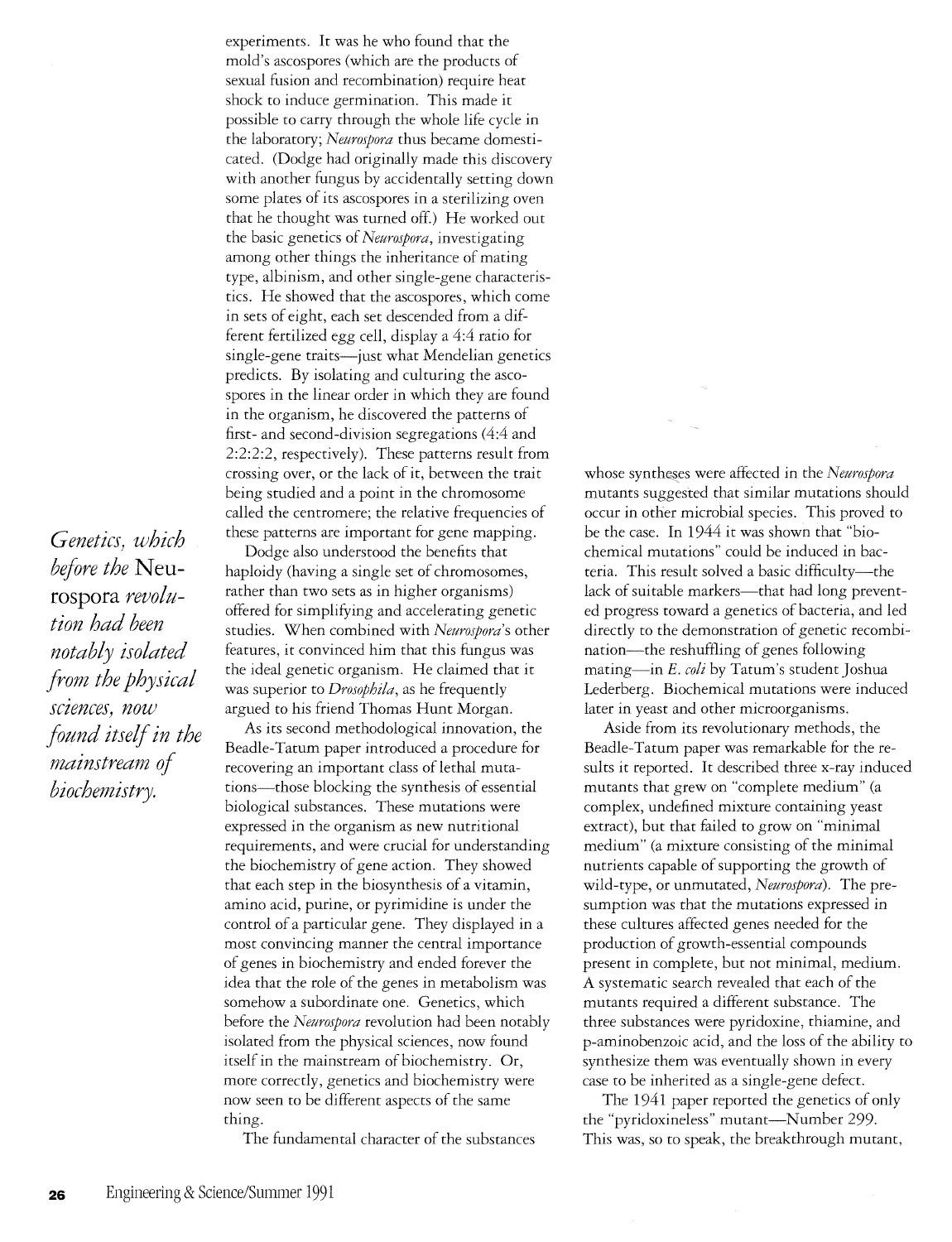*Genetics} which before the* **Neurospora** *revolution had been notably isolated from the physical sciences, now found itself in the mainstream of biochemistry.* 

experiments. It was he who found that the mold's ascospores (which are the products of sexual fusion and recombination) require heat shock to induce germination. This made it possible to carry through the whole life cycle in the laboratory; *Neurospora* thus became domesticated. (Dodge had originally made this discovery with another fungus by accidentally setting down some plates of its ascospores in a sterilizing oven that he thought was turned off.) He worked out the basic genetics of *Neurospora,* investigating among other things the inheritance of mating type, albinism, and other single-gene characteristics. He showed that the ascospores, which come in sets of eight, each set descended from a different fertilized egg cell, display a 4:4 ratio for single-gene traits-just what Mendelian genetics predicts. By isolating and culturing the ascospores in the linear order in which they are found in the organism, he discovered the patterns of first- and second-division segregations (4:4 and 2:2:2:2, respectively). These patterns result from crossing over, or the lack of it, between the trait being studied and a point in the chromosome called the centromere; the relative frequencies of these patterns are important for gene mapping.

Dodge also understood the benefits that haploidy (having a single set of chromosomes, rather than two sets as in higher organisms) offered for simplifYing and accelerating genetic studies. When combined with *Neurospora's* other features, it convinced him that this fungus was the ideal genetic organism. He claimed that it was superior to *Drosophila,* as he frequently argued to his friend Thomas Hunt Morgan.

As its second methodological innovation, the Beadle-Tatum paper introduced a procedure for recovering an important class of lethal mutations—those blocking the synthesis of essential biological substances. These mutations were expressed in the organism as new nutritional requirements, and were crucial for understanding the biochemistry of gene action. They showed that each step in the biosynthesis of a vitamin, amino acid, purine, or pyrimidine is under the control of a particular gene. They displayed in a most convincing manner the central importance of genes in biochemistry and ended forever the idea that the role of the genes in metabolism was somehow a subordinate one. Genetics, which before the *Neurospora* revolution had been notably isolated from the physical sciences, now found itself in the mainstream of biochemistry. Or, more correctly, genetics and biochemistry were now seen to be different aspects of the same thing.

The fundamental character of the substances

whose syntheses were affected in the *Neurospora* mutants suggested that similar mutations should occur in other microbial species. This proved to be the case. In 1944 it was shown that "biochemical mutations" could be induced in bacteria. This result solved a basic difficulty-the lack of suitable markers-that had long prevented progress toward a genetics of bacteria, and led directly to the demonstration of genetic recombination-the reshuffling of genes following mating-in *E. coli* by Tatum's student Joshua Lederberg. Biochemical mutations were induced later in yeast and other microorganisms.

Aside from its revolutionary methods, the Beadle-Tatum paper was remarkable for the results it reported. It described three x-ray induced mutants that grew on "complete medium" (a complex, undefined mixture containing yeast extract), but that failed to grow on "minimal medium" (a mixture consisting of the minimal nutrients capable of supporting the growth of wild-type, or unmutated, *Neurospora).* The presumption was that the mutations expressed in these cultures affected genes needed for the production of growth-essential compounds present in complete, but not minimal, medium. A systematic search revealed that each of the mutants required a different substance. The three substances were pyridoxine, thiamine, and p-aminobenzoic acid, and the loss of the ability to synthesize them was eventually shown in every case to be inherited as a single-gene defect.

The 1941 paper reported the genetics of only the "pyridoxineless" mutant-Number 299. This was, so to speak, the breakthrough mutant,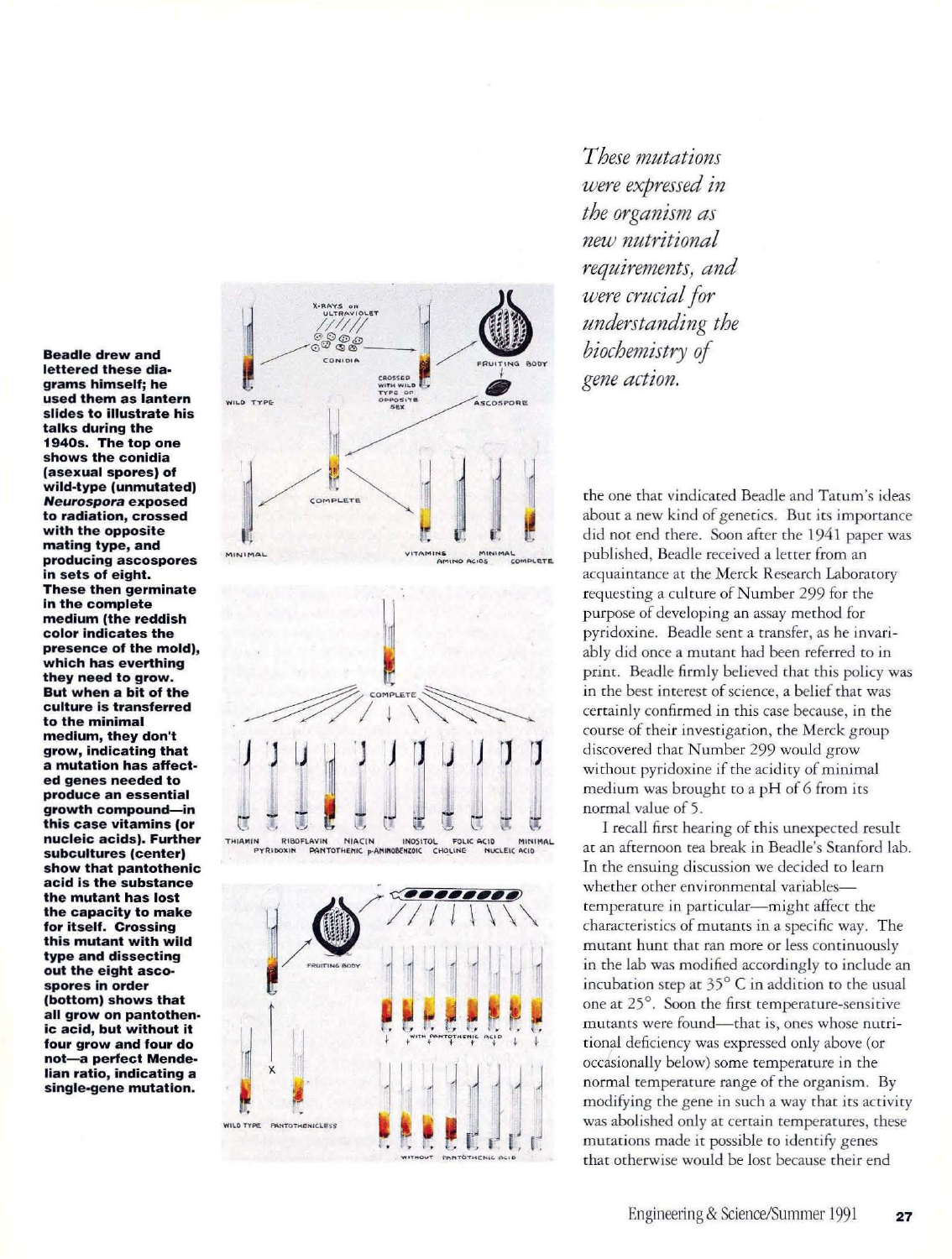**Beadle drew and**  lettered these dia**grams himself; he used them as lantern slides to Illustrate his talks during the 19405. The top one shows the conidia {asexual** spores) of wild~type **(unmutated) Neurospora exposed to radiation, crossed with the opposite mating type, and producing ascospores in sets of eight. These then germinate In the complete medium (the reddish color Indicates the presence of the mold), which has everthing they need to grow. But when a bit of the culture is transferred to the minimal medium, they don't grow, indicating that a mutation has affected genes needed to produce an essential growth compound-in this case vitamins (or nucleic acids). Further subcultures (center) show that pantothenic acid is the substance the mutant has lost the capacity to make for itself. Crossing this mutant with wild type and dissecting out the eight ascospores in order (bottom) shows that all grow on pantothen· ic acid, but without it four grow and four do not-a perfect Mende· lian ratio, indicating a single-gene mutation.** 



*These mutations were expressed in the organism as new nutritional requirements, and were crucial for understanding the biochemistry of gene action.* 

the one that vindicated Beadle and Tarum's ideas about a new kind of genetics. But its importance did not end there. Soon after the 1941 paper was published, Beadle received a letter from an acquaintance at the Merck Research Laboratory requesting a culture of Number 299 for the purpose of developing an assay method for pyridoxine. Beadle sent a transfer, as he invariably did once a mutanr had been referred to in print. Beadle firmly believed that this policy was in the best incerest of science, a belief that was certainly confirmed in this case because, in the course of their investigation, the Merck group discovered tbat Number 299 would grow without pyridoxine if the acidity of minimal medium was brought to a pH of 6 from its normal value of 5.

I recall first hearing of this unexpected result at an afternoon tea break in Beadle's Scanford lab. In the ensuing discussion we decided to leam whether other environmental variablestemperature in particular-might affect the characteristics of mutants in a specific way. The mutant hunt that ran more or less continuously in the lab was modified accordingly to include an incubation step at 35° C in addition to the usual one at  $25^\circ$ . Soon the first temperature-sensitive mutants were found-that is, ones whose nutritional deficiency was expressed only above (or occasionally below) some temperature in the normal temperature range of the organism. By modifying the gene in such a way that its activity was abolished only at certain temperatures, these mutations made it possible to identify genes that otherwise would be lost because their end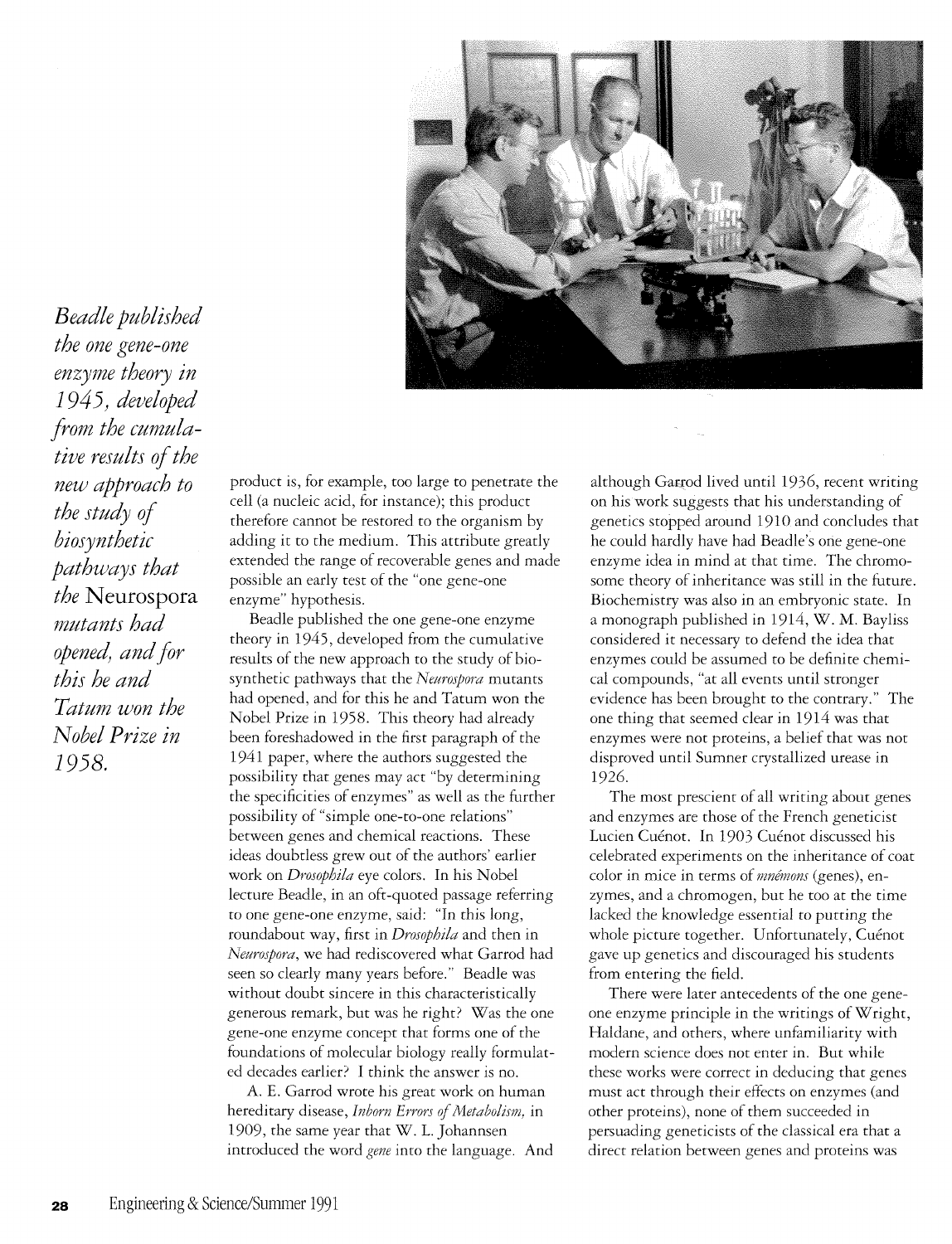

*Beadle published the one gene-one*  enzyme theory in *1945) developed*  from the cumula*tive results of the new approach to the study of biosynthetic pathways that the* **Neurospora**  *mutants had opened, and for this he and Tatum won the Nobel Prize in*  1958.

product is, for example, too large to penetrate the cell (a nucleic acid, for instance); this product therefore cannot be restored to the organism by adding it to the medium. This attribute greatly extended the range of recoverable genes and made possible an early test of the "one gene-one enzyme" hypothesis.

Beadle published the one gene-one enzyme theory in 1945, developed from the cumulative results of the new approach to the study of biosynthetic pathways that the *Neurospora* mutants had opened, and for this he and Tatum won the Nobel Prize in 1958. This theory had already been foreshadowed in the first paragraph of the 1941 paper, where the authors suggested the possibility that genes may act "by determining the specificities of enzymes" as well as the further possibility of "simple one-to-one relations" between genes and chemical reactions. These ideas doubtless grew out of the authors' earlier work on *Drosophila* eye colors. In his Nobel lecture Beadle, in an oft-quoted passage referring to one gene-one enzyme, said: "In this long, roundabout way, first in *Drosophila* and then in *Neurospora,* we had rediscovered what Garrod had seen so clearly many years before." Beadle was without doubt sincere in this characteristically generous remark, but was he right? Was the one gene-one enzyme concept that forms one of the foundations of molecular biology really formulated decades earlier? I think the answer is no.

A. E. Garrod wrote his great work on human hereditary disease, *Inborn Errors of Metabolism,* in 1 909, the same year that W. L. Johannsen introduced the word *gene* into the language. And although Gasrod lived until 1936, recent writing on his work suggests that his understanding of genetics stopped around 1910 and concludes that he could hardly have had Beadle's one gene-one enzyme idea in mind at that time. The chromosome theory of inheritance was still in the future. Biochemistry was also in an embryonic state. In a monograph published in 1914, W. M. Bayliss considered it necessary to defend the idea that enzymes could be assumed to be definite chemical compounds, "at all events until stronger evidence has been brought to the contrary." The one thing that seemed clear in 1914 was that enzymes were not proteins, a belief that was not disproved until Sumner crystallized urease in 1926.

The most prescient of all writing about genes and enzymes are those of the French geneticist Lucien Cuénot. In 1903 Cuénot discussed his celebrated experiments on the inheritance of coat color in mice in terms of *mnémons* (genes), enzymes, and a chromogen, but he too at the time lacked the knowledge essential to putting the whole picture together. Unfortunately, Cuénot gave up genetics and discouraged his students from entering the field.

There were later antecedents of the one geneone enzyme principle in the writings of Wright, Haldane, and others, where unfamiliarity with modern science does not enter in. But while these works were correct in deducing that genes must act through their effects on enzymes (and other proteins), none of them succeeded in persuading geneticists of the classical era that a direct relation between genes and proteins was